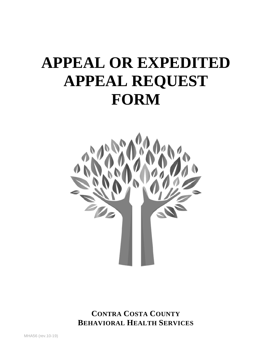# **APPEAL OR EXPEDITED APPEAL REQUEST FORM**



**CONTRA COSTA COUNTY BEHAVIORAL HEALTH SERVICES**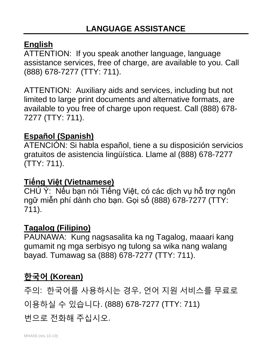# **English**

ATTENTION: If you speak another language, language assistance services, free of charge, are available to you. Call (888) 678-7277 (TTY: 711).

ATTENTION: Auxiliary aids and services, including but not limited to large print documents and alternative formats, are available to you free of charge upon request. Call (888) 678- 7277 (TTY: 711).

# **Español (Spanish)**

ATENCIÓN: Si habla español, tiene a su disposición servicios gratuitos de asistencia lingüística. Llame al (888) 678-7277 (TTY: 711).

# **Tiếng Việt (Vietnamese)**

CHÚ Ý: Nếu bạn nói Tiếng Việt, có các dịch vụ hỗ trợ ngôn ngữ miễn phí dành cho bạn. Gọi số (888) 678-7277 (TTY: 711).

# **Tagalog (Filipino)**

PAUNAWA: Kung nagsasalita ka ng Tagalog, maaari kang gumamit ng mga serbisyo ng tulong sa wika nang walang bayad. Tumawag sa (888) 678-7277 (TTY: 711).

# **한국어 (Korean)**

주의: 한국어를 사용하시는 경우, 언어 지원 서비스를 무료로 이용하실 수 있습니다. (888) 678-7277 (TTY: 711)

번으로 전화해 주십시오.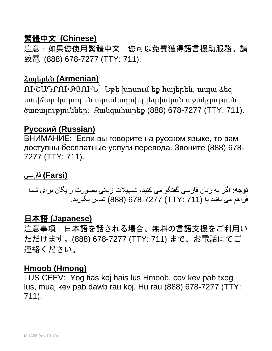# 繁體中文 **(Chinese)**

注意:如果您使用繁體中文,您可以免費獲得語言援助服務。請 致電 (888) 678-7277 (TTY: 711).

### Հայերեն **(Armenian)**

ՈՒՇԱԴՐՈՒԹՅՈՒՆ՝ Եթե խոսում եք հայերեն, ապա ձեզ անվճար կարող են տրամադրվել լեզվական աջակցության ծառայություններ: Զանգահարեք (888) 678-7277 (TTY: 711).

#### **Русский (Russian)**

ВНИМАНИЕ: Если вы говорите на русском языке, то вам доступны бесплатные услуги перевода. Звоните (888) 678- 7277 (TTY: 711).

#### **(Farsi (**فارسی

**توجھ**: اگر بھ زبان فارسی گفتگو می کنید، تسھیلات زبانی بصورت رایگان برای شما فراھم می باشد با (711 :TTY (678-7277) 888 (تماس بگیرید.

# 日本語 **(Japanese)**

注意事項:日本語を話される場合、無料の言語支援をご利用い ただけます。(888) 678-7277 (TTY: 711) まで、お電話にてご 連絡ください。

#### **Hmoob (Hmong)**

LUS CEEV: Yog tias koj hais lus Hmoob, cov kev pab txog lus, muaj kev pab dawb rau koj. Hu rau (888) 678-7277 (TTY: 711).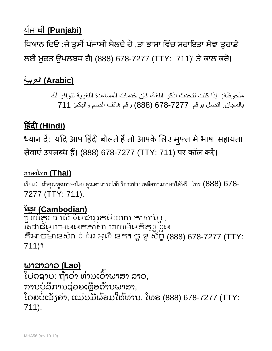# ਪੰ ਜਾਬੀ **(Punjabi)**

ਧਿਆਨ ਦਿਓ :ਜੇ ਤੁਸੀਂ ਪੰਜਾਬੀ ਬੋਲਦੇ ਹੋ ,ਤਾਂ ਭਾਸ਼ਾ ਵਿੱਚ ਸਹਾਇਤਾ ਸੇਵਾ ਤੁਹਾਡੇ ਲਈ ਮੁਫਤ ਉਪਲਬਧ ਹੈ। (888) 678-7277 (TTY: 711)' ਤੇ ਕਾਲ ਕਰੋ।

# **(Arabic (العربیة**

ملحوظة: إذا كنت تتحدث اذكر اللغة، فإن خدمات المساعدة اللغویة تتوافر لك بالمجان. اتصل برقم 678-7277 (888) رقم ھاتف الصم والبكم: 711

# **�हंद� (Hindi)**

ध्यान दे: यदि आप हिंदी बोलते हैं तो आपके लिए मुफ्त में भाषा सहायता सेवाएं उपलब्ध हैं। (888) 678-7277 (TTY: 711) पर कॉल करें।

# **ภาษาไทย (Thai)**

เรียน: ถ้าคุณพูดภาษาไทยคุณสามารถใช้บริการช่วยเหลือทางภาษาได้ฟรี โทร (888) 678- 7277 (TTY: 711).

# <u>ខ្មែរ (Cambodian)</u>

្របយ័គ្នះ ររ សើ ៑នងាអ្នកនិយាយ ភាសាខ្មែ ុ រសវាជំនួយមននកភាសា រោយមីនគិតុួួួន គឺអាចម៉ានសំរា ់ បំររ អ្ើ នក។ ចូ ទូ ស័ព្ទ (888) 678-7277 (TTY: 711)។

# ພາສາລາວ **(Lao)**

ໄປດຊາບ: ຖ້າວ່າ ທ່ານເວົາພາສາ ລາວ, ່ ່ ້ ການບໍລິການຊ່ວຍເຫຼືອດ້ານພາສາ, ໂດຍບໍ່ເສັ້ງຄ່າ, ແມ່ນມີພ້ອມໃຫ້ທ່ານ. ໂທຣ (888) 678-7277 (TTY: ັ ່ ່ ີ ່ 711).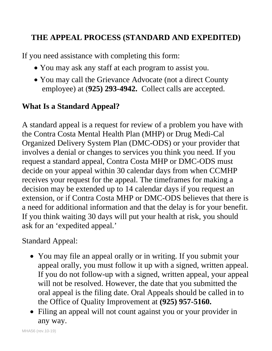### **THE APPEAL PROCESS (STANDARD AND EXPEDITED)**

If you need assistance with completing this form:

- You may ask any staff at each program to assist you.
- You may call the Grievance Advocate (not a direct County employee) at (**925) 293-4942.** Collect calls are accepted.

#### **What Is a Standard Appeal?**

A standard appeal is a request for review of a problem you have with the Contra Costa Mental Health Plan (MHP) or Drug Medi-Cal Organized Delivery System Plan (DMC-ODS) or your provider that involves a denial or changes to services you think you need. If you request a standard appeal, Contra Costa MHP or DMC-ODS must decide on your appeal within 30 calendar days from when CCMHP receives your request for the appeal. The timeframes for making a decision may be extended up to 14 calendar days if you request an extension, or if Contra Costa MHP or DMC-ODS believes that there is a need for additional information and that the delay is for your benefit. If you think waiting 30 days will put your health at risk, you should ask for an 'expedited appeal.'

Standard Appeal:

- You may file an appeal orally or in writing. If you submit your appeal orally, you must follow it up with a signed, written appeal. If you do not follow-up with a signed, written appeal, your appeal will not be resolved. However, the date that you submitted the oral appeal is the filing date. Oral Appeals should be called in to the Office of Quality Improvement at **(925) 957-5160.**
- Filing an appeal will not count against you or your provider in any way.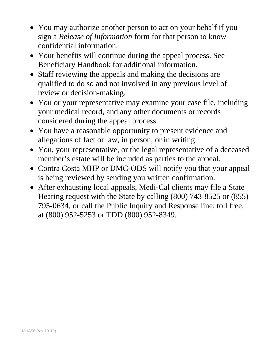- You may authorize another person to act on your behalf if you sign a *Release of Information* form for that person to know confidential information.
- Your benefits will continue during the appeal process. See Beneficiary Handbook for additional information.
- Staff reviewing the appeals and making the decisions are qualified to do so and not involved in any previous level of review or decision-making.
- You or your representative may examine your case file, including your medical record, and any other documents or records considered during the appeal process.
- You have a reasonable opportunity to present evidence and allegations of fact or law, in person, or in writing.
- You, your representative, or the legal representative of a deceased member's estate will be included as parties to the appeal.
- Contra Costa MHP or DMC-ODS will notify you that your appeal is being reviewed by sending you written confirmation.
- After exhausting local appeals, Medi-Cal clients may file a State Hearing request with the State by calling (800) 743-8525 or (855) 795-0634, or call the Public Inquiry and Response line, toll free, at (800) 952-5253 or TDD (800) 952-8349.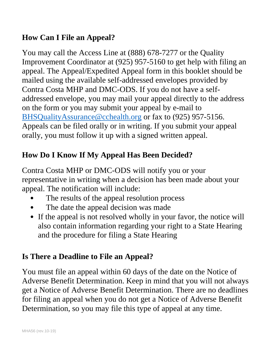# **How Can I File an Appeal?**

You may call the Access Line at (888) 678-7277 or the Quality Improvement Coordinator at (925) 957-5160 to get help with filing an appeal. The Appeal/Expedited Appeal form in this booklet should be mailed using the available self-addressed envelopes provided by Contra Costa MHP and DMC-ODS. If you do not have a selfaddressed envelope, you may mail your appeal directly to the address on the form or you may submit your appeal by e-mail to [BHSQualityAssurance@cchealth.org](mailto:BHSQualityAssurance@cchealth.org) or fax to (925) 957-5156. Appeals can be filed orally or in writing. If you submit your appeal orally, you must follow it up with a signed written appeal.

# **How Do I Know If My Appeal Has Been Decided?**

Contra Costa MHP or DMC-ODS will notify you or your representative in writing when a decision has been made about your appeal. The notification will include:

- The results of the appeal resolution process
- The date the appeal decision was made
- If the appeal is not resolved wholly in your favor, the notice will also contain information regarding your right to a State Hearing and the procedure for filing a State Hearing

### **Is There a Deadline to File an Appeal?**

You must file an appeal within 60 days of the date on the Notice of Adverse Benefit Determination. Keep in mind that you will not always get a Notice of Adverse Benefit Determination. There are no deadlines for filing an appeal when you do not get a Notice of Adverse Benefit Determination, so you may file this type of appeal at any time.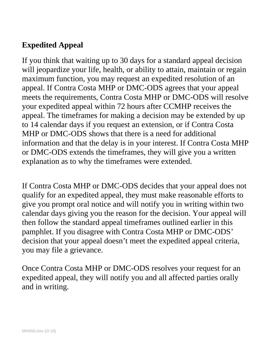#### **Expedited Appeal**

If you think that waiting up to 30 days for a standard appeal decision will jeopardize your life, health, or ability to attain, maintain or regain maximum function, you may request an expedited resolution of an appeal. If Contra Costa MHP or DMC-ODS agrees that your appeal meets the requirements, Contra Costa MHP or DMC-ODS will resolve your expedited appeal within 72 hours after CCMHP receives the appeal. The timeframes for making a decision may be extended by up to 14 calendar days if you request an extension, or if Contra Costa MHP or DMC-ODS shows that there is a need for additional information and that the delay is in your interest. If Contra Costa MHP or DMC-ODS extends the timeframes, they will give you a written explanation as to why the timeframes were extended.

If Contra Costa MHP or DMC-ODS decides that your appeal does not qualify for an expedited appeal, they must make reasonable efforts to give you prompt oral notice and will notify you in writing within two calendar days giving you the reason for the decision. Your appeal will then follow the standard appeal timeframes outlined earlier in this pamphlet. If you disagree with Contra Costa MHP or DMC-ODS' decision that your appeal doesn't meet the expedited appeal criteria, you may file a grievance.

Once Contra Costa MHP or DMC-ODS resolves your request for an expedited appeal, they will notify you and all affected parties orally and in writing.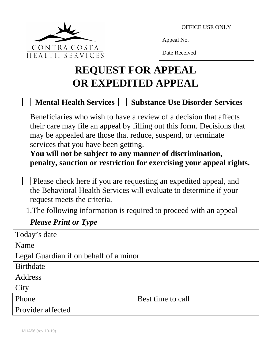

Appeal No.

Date Received

# **REQUEST FOR APPEAL OR EXPEDITED APPEAL**

# **Mental Health Services** | | Substance Use Disorder Services

Beneficiaries who wish to have a review of a decision that affects their care may file an appeal by filling out this form. Decisions that may be appealed are those that reduce, suspend, or terminate services that you have been getting.

#### **You will not be subject to any manner of discrimination, penalty, sanction or restriction for exercising your appeal rights.**

Please check here if you are requesting an expedited appeal, and the Behavioral Health Services will evaluate to determine if your request meets the criteria.

1.The following information is required to proceed with an appeal

#### *Please Print or Type*

| Today's date                           |                   |
|----------------------------------------|-------------------|
| Name                                   |                   |
| Legal Guardian if on behalf of a minor |                   |
| <b>Birthdate</b>                       |                   |
| Address                                |                   |
| City                                   |                   |
| Phone                                  | Best time to call |
| Provider affected                      |                   |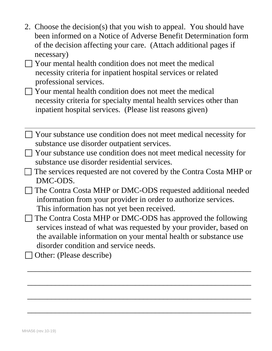- 2. Choose the decision(s) that you wish to appeal. You should have been informed on a Notice of Adverse Benefit Determination form of the decision affecting your care. (Attach additional pages if necessary)
- $\Box$  Your mental health condition does not meet the medical necessity criteria for inpatient hospital services or related professional services.
- $\Box$  Your mental health condition does not meet the medical necessity criteria for specialty mental health services other than inpatient hospital services. (Please list reasons given)
- Your substance use condition does not meet medical necessity for substance use disorder outpatient services.
- $\Box$  Your substance use condition does not meet medical necessity for substance use disorder residential services.
- The services requested are not covered by the Contra Costa MHP or DMC-ODS.
- □ The Contra Costa MHP or DMC-ODS requested additional needed information from your provider in order to authorize services. This information has not yet been received.
- $\Box$  The Contra Costa MHP or DMC-ODS has approved the following services instead of what was requested by your provider, based on the available information on your mental health or substance use disorder condition and service needs.

\_\_\_\_\_\_\_\_\_\_\_\_\_\_\_\_\_\_\_\_\_\_\_\_\_\_\_\_\_\_\_\_\_\_\_\_\_\_\_\_\_\_\_\_\_\_\_\_\_\_\_\_\_\_\_\_

\_\_\_\_\_\_\_\_\_\_\_\_\_\_\_\_\_\_\_\_\_\_\_\_\_\_\_\_\_\_\_\_\_\_\_\_\_\_\_\_\_\_\_\_\_\_\_\_\_\_\_\_\_\_\_\_

\_\_\_\_\_\_\_\_\_\_\_\_\_\_\_\_\_\_\_\_\_\_\_\_\_\_\_\_\_\_\_\_\_\_\_\_\_\_\_\_\_\_\_\_\_\_\_\_\_\_\_\_\_\_\_\_

\_\_\_\_\_\_\_\_\_\_\_\_\_\_\_\_\_\_\_\_\_\_\_\_\_\_\_\_\_\_\_\_\_\_\_\_\_\_\_\_\_\_\_\_\_\_\_\_\_\_\_\_\_\_\_\_

□ Other: (Please describe)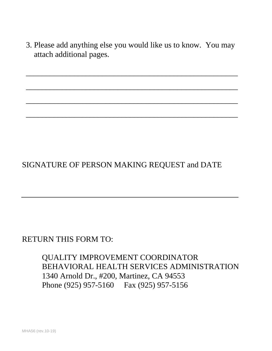3. Please add anything else you would like us to know. You may attach additional pages.

\_\_\_\_\_\_\_\_\_\_\_\_\_\_\_\_\_\_\_\_\_\_\_\_\_\_\_\_\_\_\_\_\_\_\_\_\_\_\_\_\_\_\_\_\_\_\_\_\_\_\_\_\_

\_\_\_\_\_\_\_\_\_\_\_\_\_\_\_\_\_\_\_\_\_\_\_\_\_\_\_\_\_\_\_\_\_\_\_\_\_\_\_\_\_\_\_\_\_\_\_\_\_\_\_\_\_

\_\_\_\_\_\_\_\_\_\_\_\_\_\_\_\_\_\_\_\_\_\_\_\_\_\_\_\_\_\_\_\_\_\_\_\_\_\_\_\_\_\_\_\_\_\_\_\_\_\_\_\_\_

\_\_\_\_\_\_\_\_\_\_\_\_\_\_\_\_\_\_\_\_\_\_\_\_\_\_\_\_\_\_\_\_\_\_\_\_\_\_\_\_\_\_\_\_\_\_\_\_\_\_\_\_\_

#### SIGNATURE OF PERSON MAKING REQUEST and DATE

#### RETURN THIS FORM TO:

QUALITY IMPROVEMENT COORDINATOR BEHAVIORAL HEALTH SERVICES ADMINISTRATION 1340 Arnold Dr., #200, Martinez, CA 94553 Phone (925) 957-5160 Fax (925) 957-5156